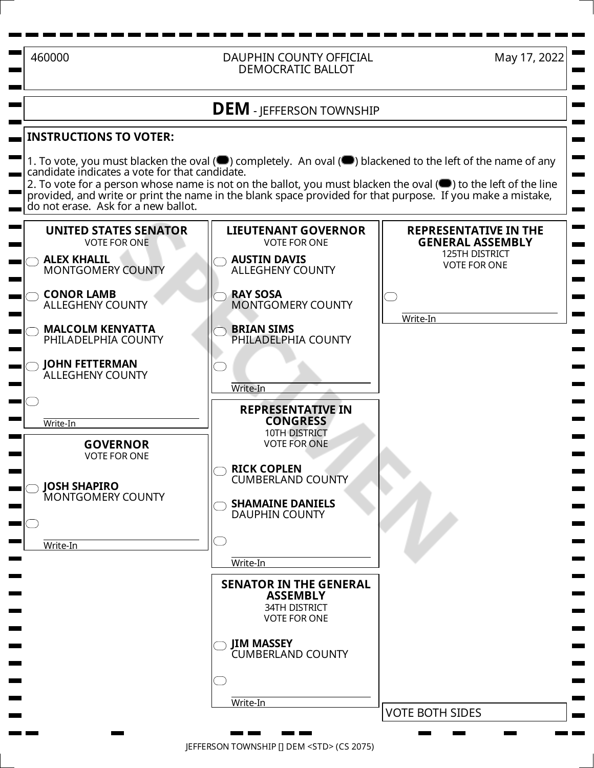## 460000 DAUPHIN COUNTY OFFICIAL DEMOCRATIC BALLOT

May 17, 2022

## **DEM** - JEFFERSON TOWNSHIP

## **INSTRUCTIONS TO VOTER:**

1. To vote, you must blacken the oval ( $\blacksquare$ ) completely. An oval ( $\blacksquare$ ) blackened to the left of the name of any candidate indicates a vote for that candidate.

2. To vote for a person whose name is not on the ballot, you must blacken the oval ( $\blacksquare$ ) to the left of the line provided, and write or print the name in the blank space provided for that purpose. If you make a mistake, do not erase. Ask for a new ballot.

| <b>UNITED STATES SENATOR</b><br><b>VOTE FOR ONE</b> | <b>LIEUTENANT GOVERNOR</b><br><b>VOTE FOR ONE</b>                                               | <b>REPRESENTATIVE IN THE</b><br><b>GENERAL ASSEMBLY</b> |
|-----------------------------------------------------|-------------------------------------------------------------------------------------------------|---------------------------------------------------------|
| <b>ALEX KHALIL</b><br><b>MONTGOMERY COUNTY</b>      | <b>AUSTIN DAVIS</b><br><b>ALLEGHENY COUNTY</b>                                                  | 125TH DISTRICT<br><b>VOTE FOR ONE</b>                   |
| <b>CONOR LAMB</b><br><b>ALLEGHENY COUNTY</b>        | <b>RAY SOSA</b><br><b>MONTGOMERY COUNTY</b>                                                     | Write-In                                                |
| <b>MALCOLM KENYATTA</b><br>PHILADELPHIA COUNTY      | <b>BRIAN SIMS</b><br>PHILADELPHIA COUNTY                                                        |                                                         |
| <b>JOHN FETTERMAN</b><br>ALLEGHENY COUNTY           | Write-In                                                                                        |                                                         |
| Write-In                                            | <b>REPRESENTATIVE IN</b><br><b>CONGRESS</b><br>10TH DISTRICT                                    |                                                         |
| <b>GOVERNOR</b><br><b>VOTE FOR ONE</b>              | <b>VOTE FOR ONE</b><br><b>RICK COPLEN</b><br><b>CUMBERLAND COUNTY</b>                           |                                                         |
| <b>JOSH SHAPIRO</b><br>MONTGOMERY COUNTY            | <b>SHAMAINE DANIELS</b><br><b>DAUPHIN COUNTY</b>                                                |                                                         |
| Write-In                                            | Write-In                                                                                        |                                                         |
|                                                     | <b>SENATOR IN THE GENERAL</b><br><b>ASSEMBLY</b><br><b>34TH DISTRICT</b><br><b>VOTE FOR ONE</b> |                                                         |
|                                                     | <b>JIM MASSEY</b><br><b>CUMBERLAND COUNTY</b>                                                   |                                                         |
|                                                     | Write-In                                                                                        |                                                         |
|                                                     |                                                                                                 | <b>VOTE BOTH SIDES</b>                                  |